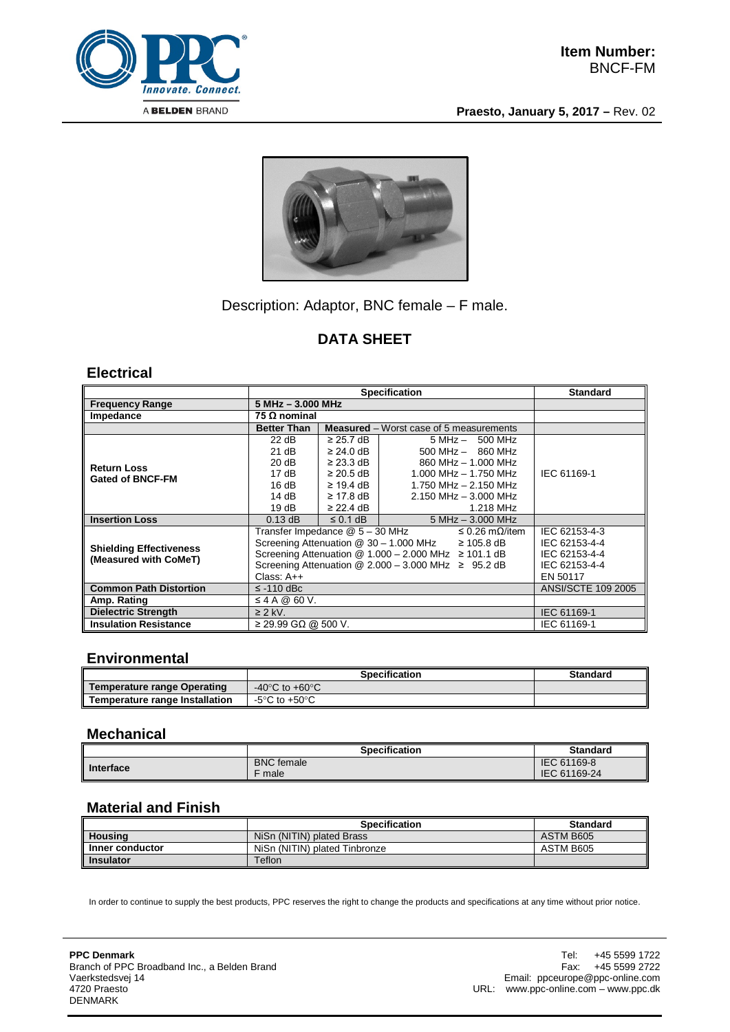

**Praesto, January 5, 2017 –** Rev. 02



## Description: Adaptor, BNC female – F male.

# **DATA SHEET**

#### **Electrical**

|                                                         | <b>Specification</b>                                                     |                            |                                                | <b>Standard</b>           |
|---------------------------------------------------------|--------------------------------------------------------------------------|----------------------------|------------------------------------------------|---------------------------|
| <b>Frequency Range</b>                                  | 5 MHz - 3.000 MHz                                                        |                            |                                                |                           |
| Impedance                                               | 75 Ω nominal                                                             |                            |                                                |                           |
|                                                         | <b>Better Than</b>                                                       |                            | <b>Measured</b> – Worst case of 5 measurements |                           |
| <b>Return Loss</b><br><b>Gated of BNCF-FM</b>           | 22 dB                                                                    | $\geq$ 25.7 dB             | $5 MHz - 500 MHz$                              |                           |
|                                                         | 21 dB                                                                    | $\geq$ 24.0 dB             | $500$ MHz $-$ 860 MHz                          |                           |
|                                                         | 20 dB                                                                    | $\geq$ 23.3 dB $\parallel$ | 860 MHz - 1,000 MHz                            |                           |
|                                                         | 17 d $B$                                                                 | $\geq$ 20.5 dB             | $1.000$ MHz $- 1.750$ MHz                      | IEC 61169-1               |
|                                                         | 16dB                                                                     | $\geq$ 19.4 dB             | 1.750 MHz $-$ 2.150 MHz                        |                           |
|                                                         | 14 dB                                                                    | $\geq$ 17.8 dB             | $2.150$ MHz $-$ 3.000 MHz                      |                           |
|                                                         | 19dB                                                                     | $\geq$ 22.4 dB             | 1.218 MHz                                      |                           |
| <b>Insertion Loss</b>                                   | $0.13$ dB                                                                | $\leq$ 0.1 dB              | $5 MHz - 3.000 MHz$                            |                           |
| <b>Shielding Effectiveness</b><br>(Measured with CoMeT) | Transfer Impedance @ 5 - 30 MHz<br>≤ 0.26 mΩ/item                        |                            |                                                | IEC 62153-4-3             |
|                                                         | Screening Attenuation $@$ 30 - 1.000 MHz $\geq$ 105.8 dB                 |                            |                                                | IEC 62153-4-4             |
|                                                         | Screening Attenuation $@ 1.000 - 2.000 \text{ MHz} \ge 101.1 \text{ dB}$ |                            |                                                | IEC 62153-4-4             |
|                                                         | Screening Attenuation @ $2.000 - 3.000$ MHz $\geq 95.2$ dB               |                            |                                                | IEC 62153-4-4             |
|                                                         | Class: $A++$                                                             |                            |                                                | EN 50117                  |
| <b>Common Path Distortion</b>                           | $\le$ -110 dBc                                                           |                            |                                                | <b>ANSI/SCTE 109 2005</b> |
| Amp. Rating                                             | $\leq$ 4 A @ 60 V.                                                       |                            |                                                |                           |
| <b>Dielectric Strength</b>                              | $\geq$ 2 kV.                                                             |                            |                                                | IEC 61169-1               |
| <b>Insulation Resistance</b>                            | $\geq$ 29.99 GΩ @ 500 V.                                                 |                            |                                                | IEC 61169-1               |

#### **Environmental**

|                                    | <b>Specification</b>               | <b>Standard</b> |
|------------------------------------|------------------------------------|-----------------|
| <b>Temperature range Operating</b> | -40 $\degree$ C to +60 $\degree$ C |                 |
| Temperature range Installation     | -5°C to +50°C                      |                 |

#### **Mechanical**

|                  | <b>Specification</b> | <b>Standard</b> |
|------------------|----------------------|-----------------|
| <b>Interface</b> | <b>BNC</b> female    | IEC 61169-8     |
|                  | male                 | IEC 61169-24    |

## **Material and Finish**

|                  | <b>Specification</b>          | <b>Standard</b> |
|------------------|-------------------------------|-----------------|
| Housing          | NiSn (NITIN) plated Brass     | ASTM B605       |
| Inner conductor  | NiSn (NITIN) plated Tinbronze | ASTM B605       |
| <b>Insulator</b> | Teflon                        |                 |

In order to continue to supply the best products, PPC reserves the right to change the products and specifications at any time without prior notice.